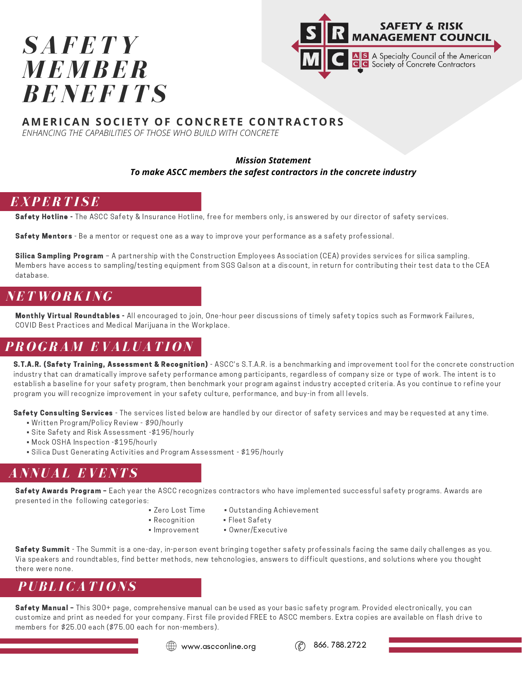# *SAFETY M E M BER BENEF ITS*



#### **AMERICA N SOCI E TY OF CO N CRE T E CO N TRACTORS**

*ENHANCING THE CAPABILITIES OF THOSE WHO BUILD WITH CONCRETE*

#### *Mission Statement To make ASCC members the safest contractors in the concrete industry*

### *EXPERTI SE*

Safety Hotline - The ASCC Safety & Insurance Hotline, free for members only, is answered by our director of safety services.

Safety Mentors - Be a mentor or request one as a way to improve your performance as a safety professional.

Silica Sampling Program - A partnership with the Construction Employees Association (CEA) provides services for silica sampling. Members have access to sampling/testing equipment from SGS Galson at a discount, in return forcontributing their test data to the CEA database.

### *NET W O RKING*

Monthly Virtual Roundtables - All encouraged to join, One-hour peer discussions of timely safety topics such as Formwork Failures, COVID Best Practices and Medical Marijuana in the Workplace.

### *PR O GRA M EVALUATI O N*

S.T.A.R. (Safety Training, Assessment & Recognition) - ASCC's S.T.A.R. is a benchmarking and improvement tool for the concrete construction industry that can dramatically improve safety performance among participants, regardless of company size or type of work. The intent is to establish a baseline for your safety program, then benchmark your program against industry accepted criteria. As you continue to refine your program you will recognize improvement in your safety culture, performance, and buy-in from all levels.<br>**Safety Consulting Services** - The services listed below are handled by our director of safety services and may be req

- Written Program/Policy Review \$90/hourly
- Site Safety and Risk Assessment -\$195/hourly
- Mock OSHA Inspection -\$195/hourly
- Silica Dust Generating Activities and Program Assessment \$195/hourly

### *ANNUAL EVENTS*

Safety Awards Program - Each year the ASCC recognizes contractors who have implemented successful safety programs. Awards are presented in the following categories:<br>• Zero Lost Time • Outstanding Achievement

- 
- Recognition Fleet Safety
- Improvement Owner/Executive

Safety Summit - The Summit is a one-day, in-person event bringing together safety professinals facing the same daily challenges as you. Via speakers and roundtables, find better methods, new tehcnologies, answers to difficult questions, and solutions where you thought there were none.

## *PUB L ICATI O NS*

Safety Manual – This 300+ page, comprehensive manual can be used as your basic safety program. Provided electronically, you can customize and print as needed foryour company. First file provided FREE to ASCC members. Extra copies are available on flash drive to members for \$25.00 each (\$75.00 each for non-members).